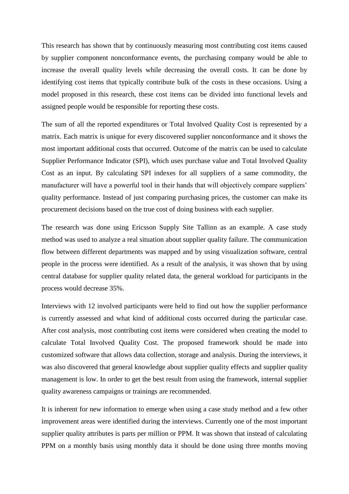This research has shown that by continuously measuring most contributing cost items caused by supplier component nonconformance events, the purchasing company would be able to increase the overall quality levels while decreasing the overall costs. It can be done by identifying cost items that typically contribute bulk of the costs in these occasions. Using a model proposed in this research, these cost items can be divided into functional levels and assigned people would be responsible for reporting these costs.

The sum of all the reported expenditures or Total Involved Quality Cost is represented by a matrix. Each matrix is unique for every discovered supplier nonconformance and it shows the most important additional costs that occurred. Outcome of the matrix can be used to calculate Supplier Performance Indicator (SPI), which uses purchase value and Total Involved Quality Cost as an input. By calculating SPI indexes for all suppliers of a same commodity, the manufacturer will have a powerful tool in their hands that will objectively compare suppliers' quality performance. Instead of just comparing purchasing prices, the customer can make its procurement decisions based on the true cost of doing business with each supplier.

The research was done using Ericsson Supply Site Tallinn as an example. A case study method was used to analyze a real situation about supplier quality failure. The communication flow between different departments was mapped and by using visualization software, central people in the process were identified. As a result of the analysis, it was shown that by using central database for supplier quality related data, the general workload for participants in the process would decrease 35%.

Interviews with 12 involved participants were held to find out how the supplier performance is currently assessed and what kind of additional costs occurred during the particular case. After cost analysis, most contributing cost items were considered when creating the model to calculate Total Involved Quality Cost. The proposed framework should be made into customized software that allows data collection, storage and analysis. During the interviews, it was also discovered that general knowledge about supplier quality effects and supplier quality management is low. In order to get the best result from using the framework, internal supplier quality awareness campaigns or trainings are recommended.

It is inherent for new information to emerge when using a case study method and a few other improvement areas were identified during the interviews. Currently one of the most important supplier quality attributes is parts per million or PPM. It was shown that instead of calculating PPM on a monthly basis using monthly data it should be done using three months moving